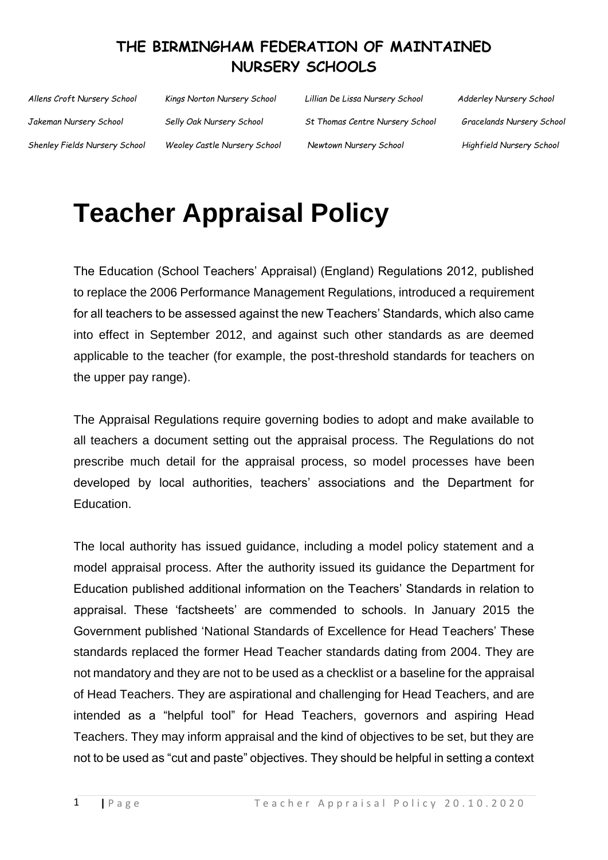| Allens Croft Nursery School   | Kings Norton Nursery School  | Lillian De Lissa Nursery School | <b>Adderley Nursery School</b> |
|-------------------------------|------------------------------|---------------------------------|--------------------------------|
| Jakeman Nursery School        | Selly Oak Nursery School     | St Thomas Centre Nursery School | Gracelands Nursery School      |
| Shenley Fields Nursery School | Weoley Castle Nursery School | Newtown Nursery School          | Highfield Nursery School       |

# **Teacher Appraisal Policy**

The Education (School Teachers' Appraisal) (England) Regulations 2012, published to replace the 2006 Performance Management Regulations, introduced a requirement for all teachers to be assessed against the new Teachers' Standards, which also came into effect in September 2012, and against such other standards as are deemed applicable to the teacher (for example, the post-threshold standards for teachers on the upper pay range).

The Appraisal Regulations require governing bodies to adopt and make available to all teachers a document setting out the appraisal process. The Regulations do not prescribe much detail for the appraisal process, so model processes have been developed by local authorities, teachers' associations and the Department for Education.

The local authority has issued guidance, including a model policy statement and a model appraisal process. After the authority issued its guidance the Department for Education published additional information on the Teachers' Standards in relation to appraisal. These 'factsheets' are commended to schools. In January 2015 the Government published 'National Standards of Excellence for Head Teachers' These standards replaced the former Head Teacher standards dating from 2004. They are not mandatory and they are not to be used as a checklist or a baseline for the appraisal of Head Teachers. They are aspirational and challenging for Head Teachers, and are intended as a "helpful tool" for Head Teachers, governors and aspiring Head Teachers. They may inform appraisal and the kind of objectives to be set, but they are not to be used as "cut and paste" objectives. They should be helpful in setting a context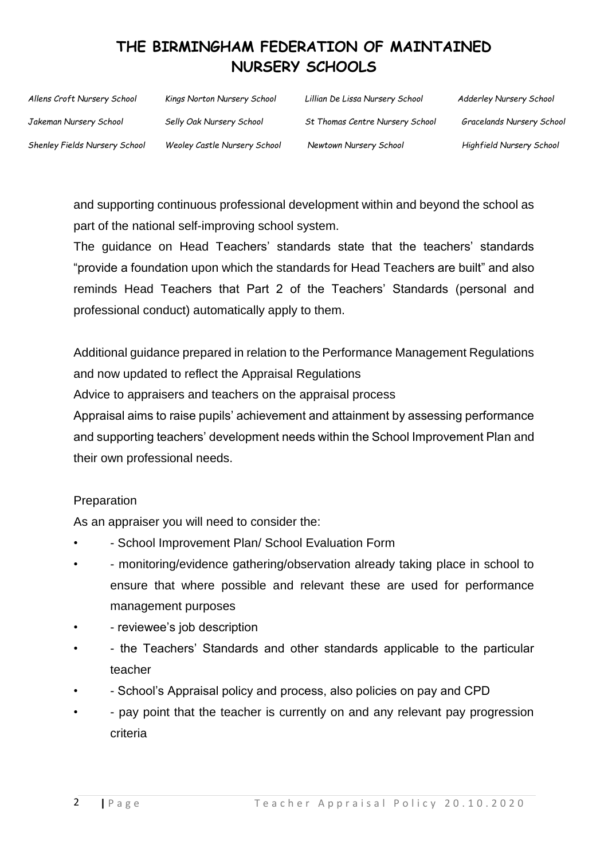| Allens Croft Nursery School   | Kings Norton Nursery School  | Lillian De Lissa Nursery School | <b>Adderley Nursery School</b> |
|-------------------------------|------------------------------|---------------------------------|--------------------------------|
| Jakeman Nursery School        | Selly Oak Nursery School     | St Thomas Centre Nursery School | Gracelands Nursery School      |
| Shenley Fields Nursery School | Weoley Castle Nursery School | Newtown Nursery School          | Highfield Nursery School       |

and supporting continuous professional development within and beyond the school as part of the national self-improving school system.

The guidance on Head Teachers' standards state that the teachers' standards "provide a foundation upon which the standards for Head Teachers are built" and also reminds Head Teachers that Part 2 of the Teachers' Standards (personal and professional conduct) automatically apply to them.

Additional guidance prepared in relation to the Performance Management Regulations and now updated to reflect the Appraisal Regulations

Advice to appraisers and teachers on the appraisal process

Appraisal aims to raise pupils' achievement and attainment by assessing performance and supporting teachers' development needs within the School Improvement Plan and their own professional needs.

#### **Preparation**

As an appraiser you will need to consider the:

- - School Improvement Plan/ School Evaluation Form
- - monitoring/evidence gathering/observation already taking place in school to ensure that where possible and relevant these are used for performance management purposes
- - reviewee's job description
- - the Teachers' Standards and other standards applicable to the particular teacher
- - School's Appraisal policy and process, also policies on pay and CPD
- - pay point that the teacher is currently on and any relevant pay progression criteria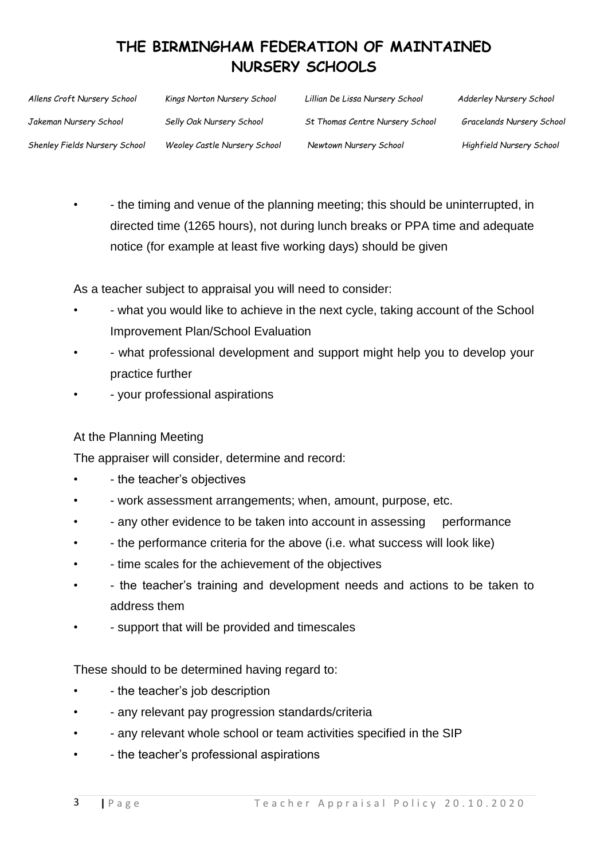| Allens Croft Nursery School   | Kings Norton Nursery School  | Lillian De Lissa Nursery School | <b>Adderley Nursery School</b> |
|-------------------------------|------------------------------|---------------------------------|--------------------------------|
| Jakeman Nursery School        | Selly Oak Nursery School     | St Thomas Centre Nursery School | Gracelands Nursery School      |
| Shenley Fields Nursery School | Weoley Castle Nursery School | Newtown Nursery School          | Highfield Nursery School       |

• - the timing and venue of the planning meeting; this should be uninterrupted, in directed time (1265 hours), not during lunch breaks or PPA time and adequate notice (for example at least five working days) should be given

As a teacher subject to appraisal you will need to consider:

- - what you would like to achieve in the next cycle, taking account of the School Improvement Plan/School Evaluation
- - what professional development and support might help you to develop your practice further
- - your professional aspirations

#### At the Planning Meeting

The appraiser will consider, determine and record:

- - the teacher's objectives
- - work assessment arrangements; when, amount, purpose, etc.
- any other evidence to be taken into account in assessing performance
- - the performance criteria for the above (i.e. what success will look like)
- - time scales for the achievement of the objectives
- - the teacher's training and development needs and actions to be taken to address them
- - support that will be provided and timescales

These should to be determined having regard to:

- - the teacher's job description
- - any relevant pay progression standards/criteria
- - any relevant whole school or team activities specified in the SIP
- - the teacher's professional aspirations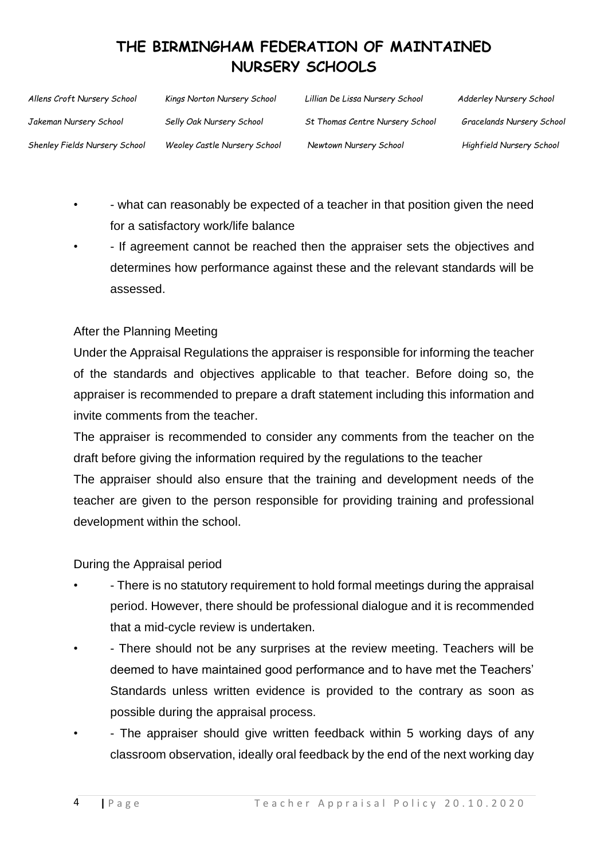| Allens Croft Nursery School   | Kings Norton Nursery School  | Lillian De Lissa Nursery School | <b>Adderley Nursery School</b>   |
|-------------------------------|------------------------------|---------------------------------|----------------------------------|
| Jakeman Nursery School        | Selly Oak Nursery School     | St Thomas Centre Nursery School | <b>Gracelands Nursery School</b> |
| Shenley Fields Nursery School | Weoley Castle Nursery School | Newtown Nursery School          | Highfield Nursery School         |

- - what can reasonably be expected of a teacher in that position given the need for a satisfactory work/life balance
- - If agreement cannot be reached then the appraiser sets the objectives and determines how performance against these and the relevant standards will be assessed.

#### After the Planning Meeting

Under the Appraisal Regulations the appraiser is responsible for informing the teacher of the standards and objectives applicable to that teacher. Before doing so, the appraiser is recommended to prepare a draft statement including this information and invite comments from the teacher.

The appraiser is recommended to consider any comments from the teacher on the draft before giving the information required by the regulations to the teacher

The appraiser should also ensure that the training and development needs of the teacher are given to the person responsible for providing training and professional development within the school.

#### During the Appraisal period

- - There is no statutory requirement to hold formal meetings during the appraisal period. However, there should be professional dialogue and it is recommended that a mid-cycle review is undertaken.
- - There should not be any surprises at the review meeting. Teachers will be deemed to have maintained good performance and to have met the Teachers' Standards unless written evidence is provided to the contrary as soon as possible during the appraisal process.
- The appraiser should give written feedback within 5 working days of any classroom observation, ideally oral feedback by the end of the next working day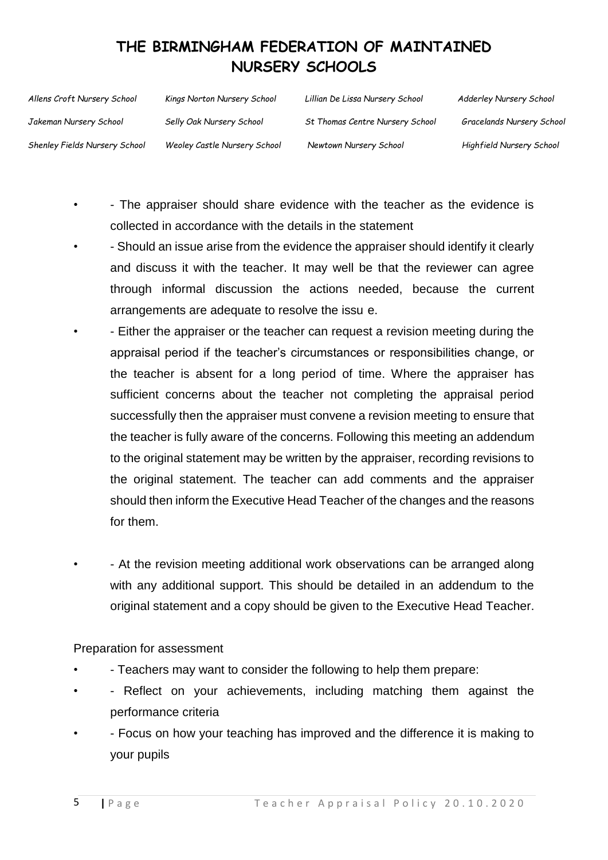| Allens Croft Nursery School   | Kings Norton Nursery School  | Lillian De Lissa Nursery School        | Adderley Nursery School          |
|-------------------------------|------------------------------|----------------------------------------|----------------------------------|
| Jakeman Nursery School        | Selly Oak Nursery School     | <b>St Thomas Centre Nursery School</b> | <b>Gracelands Nursery School</b> |
| Shenley Fields Nursery School | Weoley Castle Nursery School | Newtown Nursery School                 | Highfield Nursery School         |

- - The appraiser should share evidence with the teacher as the evidence is collected in accordance with the details in the statement
- - Should an issue arise from the evidence the appraiser should identify it clearly and discuss it with the teacher. It may well be that the reviewer can agree through informal discussion the actions needed, because the current arrangements are adequate to resolve the issu e.
	- - Either the appraiser or the teacher can request a revision meeting during the appraisal period if the teacher's circumstances or responsibilities change, or the teacher is absent for a long period of time. Where the appraiser has sufficient concerns about the teacher not completing the appraisal period successfully then the appraiser must convene a revision meeting to ensure that the teacher is fully aware of the concerns. Following this meeting an addendum to the original statement may be written by the appraiser, recording revisions to the original statement. The teacher can add comments and the appraiser should then inform the Executive Head Teacher of the changes and the reasons for them.
- - At the revision meeting additional work observations can be arranged along with any additional support. This should be detailed in an addendum to the original statement and a copy should be given to the Executive Head Teacher.

Preparation for assessment

- - Teachers may want to consider the following to help them prepare:
- Reflect on your achievements, including matching them against the performance criteria
- - Focus on how your teaching has improved and the difference it is making to your pupils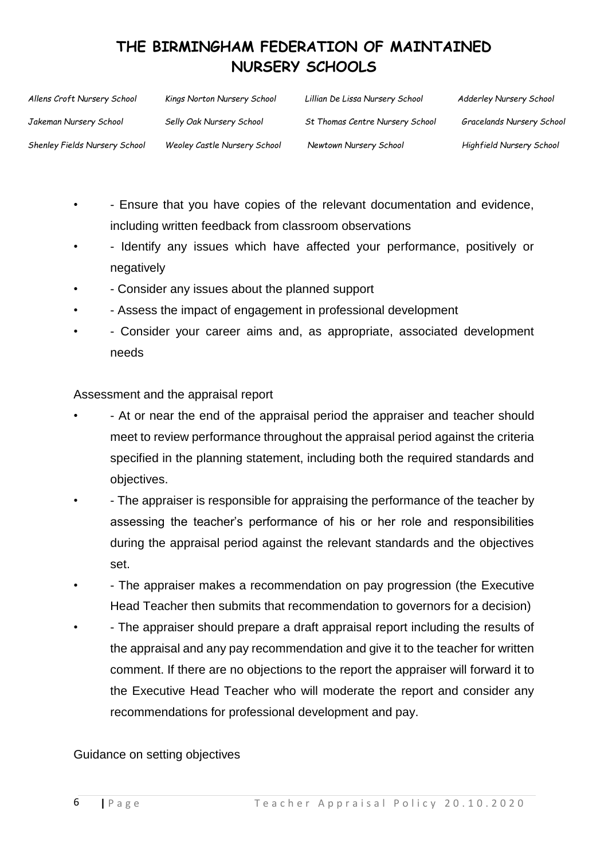| Allens Croft Nursery School   | Kings Norton Nursery School  | Lillian De Lissa Nursery School | <b>Adderley Nursery School</b>   |
|-------------------------------|------------------------------|---------------------------------|----------------------------------|
| Jakeman Nursery School        | Selly Oak Nursery School     | St Thomas Centre Nursery School | <b>Gracelands Nursery School</b> |
| Shenley Fields Nursery School | Weoley Castle Nursery School | Newtown Nursery School          | Highfield Nursery School         |

- - Ensure that you have copies of the relevant documentation and evidence, including written feedback from classroom observations
- Identify any issues which have affected your performance, positively or negatively
- - Consider any issues about the planned support
- Assess the impact of engagement in professional development
- - Consider your career aims and, as appropriate, associated development needs

Assessment and the appraisal report

- - At or near the end of the appraisal period the appraiser and teacher should meet to review performance throughout the appraisal period against the criteria specified in the planning statement, including both the required standards and objectives.
- - The appraiser is responsible for appraising the performance of the teacher by assessing the teacher's performance of his or her role and responsibilities during the appraisal period against the relevant standards and the objectives set.
- - The appraiser makes a recommendation on pay progression (the Executive Head Teacher then submits that recommendation to governors for a decision)
- - The appraiser should prepare a draft appraisal report including the results of the appraisal and any pay recommendation and give it to the teacher for written comment. If there are no objections to the report the appraiser will forward it to the Executive Head Teacher who will moderate the report and consider any recommendations for professional development and pay.

Guidance on setting objectives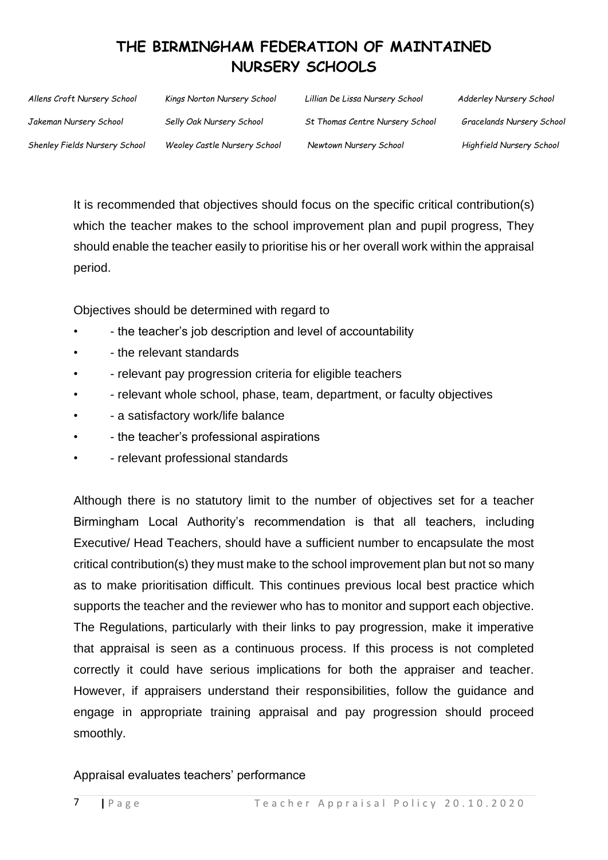| Allens Croft Nursery School          | Kings Norton Nursery School  | Lillian De Lissa Nursery School | <b>Adderley Nursery School</b> |
|--------------------------------------|------------------------------|---------------------------------|--------------------------------|
| Jakeman Nursery School               | Selly Oak Nursery School     | St Thomas Centre Nursery School | Gracelands Nursery School      |
| <b>Shenley Fields Nursery School</b> | Weoley Castle Nursery School | Newtown Nursery School          | Highfield Nursery School       |

It is recommended that objectives should focus on the specific critical contribution(s) which the teacher makes to the school improvement plan and pupil progress, They should enable the teacher easily to prioritise his or her overall work within the appraisal period.

Objectives should be determined with regard to

- - the teacher's job description and level of accountability
- - the relevant standards
- - relevant pay progression criteria for eligible teachers
- - relevant whole school, phase, team, department, or faculty objectives
- - a satisfactory work/life balance
- - the teacher's professional aspirations
- - relevant professional standards

Although there is no statutory limit to the number of objectives set for a teacher Birmingham Local Authority's recommendation is that all teachers, including Executive/ Head Teachers, should have a sufficient number to encapsulate the most critical contribution(s) they must make to the school improvement plan but not so many as to make prioritisation difficult. This continues previous local best practice which supports the teacher and the reviewer who has to monitor and support each objective. The Regulations, particularly with their links to pay progression, make it imperative that appraisal is seen as a continuous process. If this process is not completed correctly it could have serious implications for both the appraiser and teacher. However, if appraisers understand their responsibilities, follow the guidance and engage in appropriate training appraisal and pay progression should proceed smoothly.

Appraisal evaluates teachers' performance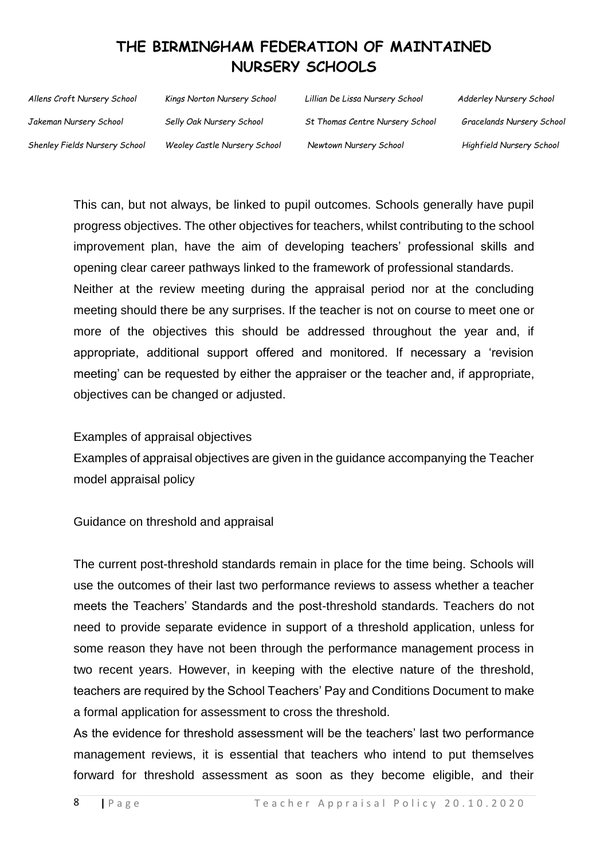*Allens Croft Nursery School Jakeman Nursery School Shenley Fields Nursery School Kings Norton Nursery School Selly Oak Nursery School Weoley Castle Nursery School Lillian De Lissa Nursery School St Thomas Centre Nursery School Newtown Nursery School Adderley Nursery School Gracelands Nursery School Highfield Nursery School*

This can, but not always, be linked to pupil outcomes. Schools generally have pupil progress objectives. The other objectives for teachers, whilst contributing to the school improvement plan, have the aim of developing teachers' professional skills and opening clear career pathways linked to the framework of professional standards. Neither at the review meeting during the appraisal period nor at the concluding meeting should there be any surprises. If the teacher is not on course to meet one or more of the objectives this should be addressed throughout the year and, if appropriate, additional support offered and monitored. If necessary a 'revision meeting' can be requested by either the appraiser or the teacher and, if appropriate, objectives can be changed or adjusted.

Examples of appraisal objectives

Examples of appraisal objectives are given in the guidance accompanying the Teacher model appraisal policy

Guidance on threshold and appraisal

The current post-threshold standards remain in place for the time being. Schools will use the outcomes of their last two performance reviews to assess whether a teacher meets the Teachers' Standards and the post-threshold standards. Teachers do not need to provide separate evidence in support of a threshold application, unless for some reason they have not been through the performance management process in two recent years. However, in keeping with the elective nature of the threshold, teachers are required by the School Teachers' Pay and Conditions Document to make a formal application for assessment to cross the threshold.

As the evidence for threshold assessment will be the teachers' last two performance management reviews, it is essential that teachers who intend to put themselves forward for threshold assessment as soon as they become eligible, and their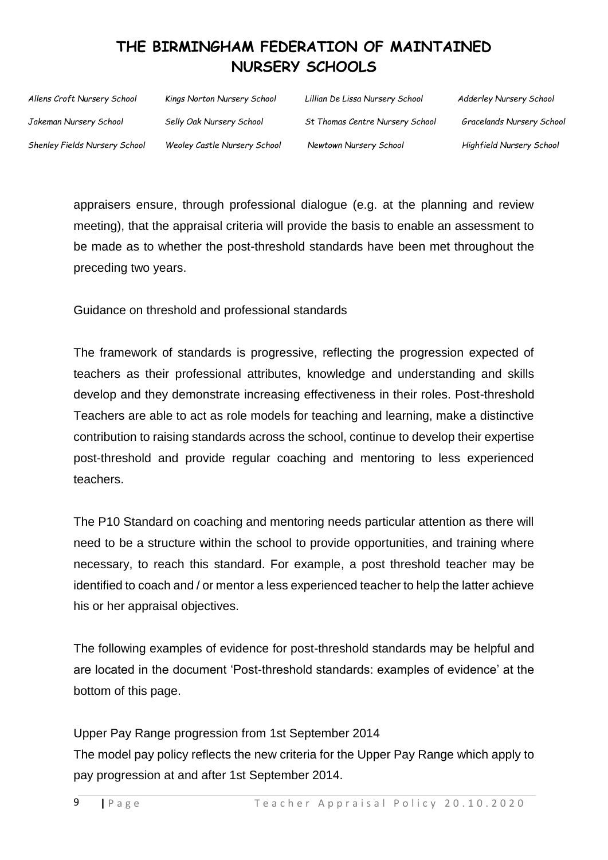| Allens Croft Nursery School   | Kings Norton Nursery School  | Lillian De Lissa Nursery School | <b>Adderley Nursery School</b>   |
|-------------------------------|------------------------------|---------------------------------|----------------------------------|
| Jakeman Nursery School        | Selly Oak Nursery School     | St Thomas Centre Nursery School | <b>Gracelands Nursery School</b> |
| Shenley Fields Nursery School | Weoley Castle Nursery School | Newtown Nursery School          | Highfield Nursery School         |

appraisers ensure, through professional dialogue (e.g. at the planning and review meeting), that the appraisal criteria will provide the basis to enable an assessment to be made as to whether the post-threshold standards have been met throughout the preceding two years.

Guidance on threshold and professional standards

The framework of standards is progressive, reflecting the progression expected of teachers as their professional attributes, knowledge and understanding and skills develop and they demonstrate increasing effectiveness in their roles. Post-threshold Teachers are able to act as role models for teaching and learning, make a distinctive contribution to raising standards across the school, continue to develop their expertise post-threshold and provide regular coaching and mentoring to less experienced teachers.

The P10 Standard on coaching and mentoring needs particular attention as there will need to be a structure within the school to provide opportunities, and training where necessary, to reach this standard. For example, a post threshold teacher may be identified to coach and / or mentor a less experienced teacher to help the latter achieve his or her appraisal objectives.

The following examples of evidence for post-threshold standards may be helpful and are located in the document 'Post-threshold standards: examples of evidence' at the bottom of this page.

Upper Pay Range progression from 1st September 2014 The model pay policy reflects the new criteria for the Upper Pay Range which apply to pay progression at and after 1st September 2014.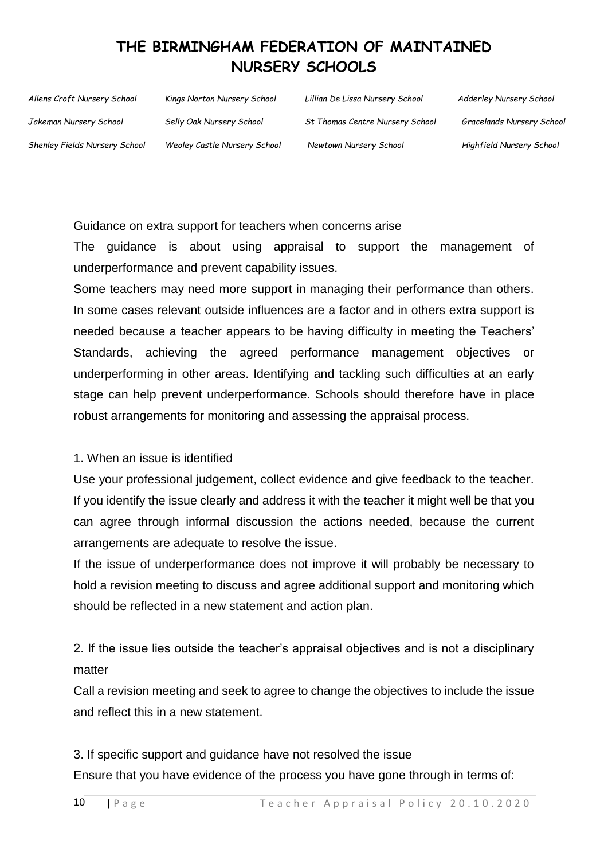| Allens Croft Nursery School   | Kings Norton Nursery School  | Lillian De Lissa Nursery School | <b>Adderley Nursery School</b>   |
|-------------------------------|------------------------------|---------------------------------|----------------------------------|
| Jakeman Nursery School        | Selly Oak Nursery School     | St Thomas Centre Nursery School | <b>Gracelands Nursery School</b> |
| Shenley Fields Nursery School | Weoley Castle Nursery School | Newtown Nursery School          | Highfield Nursery School         |

Guidance on extra support for teachers when concerns arise

The guidance is about using appraisal to support the management of underperformance and prevent capability issues.

Some teachers may need more support in managing their performance than others. In some cases relevant outside influences are a factor and in others extra support is needed because a teacher appears to be having difficulty in meeting the Teachers' Standards, achieving the agreed performance management objectives or underperforming in other areas. Identifying and tackling such difficulties at an early stage can help prevent underperformance. Schools should therefore have in place robust arrangements for monitoring and assessing the appraisal process.

#### 1. When an issue is identified

Use your professional judgement, collect evidence and give feedback to the teacher. If you identify the issue clearly and address it with the teacher it might well be that you can agree through informal discussion the actions needed, because the current arrangements are adequate to resolve the issue.

If the issue of underperformance does not improve it will probably be necessary to hold a revision meeting to discuss and agree additional support and monitoring which should be reflected in a new statement and action plan.

2. If the issue lies outside the teacher's appraisal objectives and is not a disciplinary matter

Call a revision meeting and seek to agree to change the objectives to include the issue and reflect this in a new statement.

3. If specific support and guidance have not resolved the issue Ensure that you have evidence of the process you have gone through in terms of: